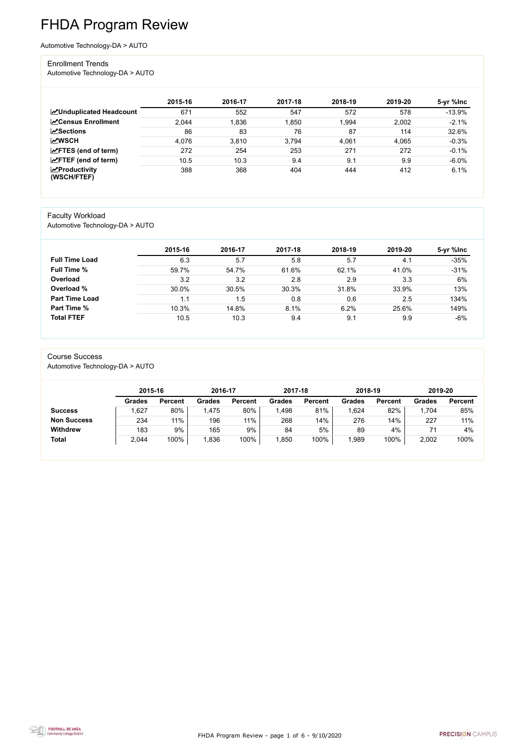FHDA Program Review - page 1 of 6 - 9/10/2020



# FHDA Program Review

Automotive Technology-DA > AUTO

#### Enrollment Trends

Automotive Technology-DA > AUTO

|                                    | 2015-16 | 2016-17 | 2017-18 | 2018-19 | 2019-20 | 5-yr %lnc |
|------------------------------------|---------|---------|---------|---------|---------|-----------|
| <b>ZUnduplicated Headcount</b>     | 671     | 552     | 547     | 572     | 578     | $-13.9%$  |
| <b>∠</b> Census Enrollment         | 2,044   | 1,836   | 1,850   | 1,994   | 2,002   | $-2.1%$   |
| <b>ZSections</b>                   | 86      | 83      | 76      | 87      | 114     | 32.6%     |
| <b>MWSCH</b>                       | 4,076   | 3,810   | 3,794   | 4,061   | 4,065   | $-0.3%$   |
| $\angle$ FTES (end of term)        | 272     | 254     | 253     | 271     | 272     | $-0.1%$   |
| $\angle$ FTEF (end of term)        | 10.5    | 10.3    | 9.4     | 9.1     | 9.9     | $-6.0%$   |
| $\chi$ Productivity<br>(WSCH/FTEF) | 388     | 368     | 404     | 444     | 412     | 6.1%      |

#### Faculty Workload

Automotive Technology-DA > AUTO

|                       | 2015-16 | 2016-17 | 2017-18 | 2018-19 | 2019-20 | 5-yr %lnc |
|-----------------------|---------|---------|---------|---------|---------|-----------|
| <b>Full Time Load</b> | 6.3     | 5.7     | 5.8     | 5.7     | 4.1     | $-35%$    |
| <b>Full Time %</b>    | 59.7%   | 54.7%   | 61.6%   | 62.1%   | 41.0%   | $-31%$    |
| Overload              | 3.2     | 3.2     | 2.8     | 2.9     | 3.3     | 6%        |
| Overload %            | 30.0%   | 30.5%   | 30.3%   | 31.8%   | 33.9%   | 13%       |
| <b>Part Time Load</b> | 1.1     | 1.5     | 0.8     | 0.6     | 2.5     | 134%      |
| <b>Part Time %</b>    | 10.3%   | 14.8%   | 8.1%    | 6.2%    | 25.6%   | 149%      |
| <b>Total FTEF</b>     | 10.5    | 10.3    | 9.4     | 9.1     | 9.9     | $-6%$     |

## Course Success

Automotive Technology-DA > AUTO

|                    | 2015-16       |                | 2016-17 |                | 2017-18 |                | 2018-19       |                | 2019-20       |                |
|--------------------|---------------|----------------|---------|----------------|---------|----------------|---------------|----------------|---------------|----------------|
|                    | <b>Grades</b> | <b>Percent</b> | Grades  | <b>Percent</b> | Grades  | <b>Percent</b> | <b>Grades</b> | <b>Percent</b> | <b>Grades</b> | <b>Percent</b> |
| <b>Success</b>     | .627          | 80%            | '.475   | 80%            | .498    | 81%            | .624          | 82%            | 1,704         | 85%            |
| <b>Non Success</b> | 234           | 11%            | 196     | 11%            | 268     | 14%            | 276           | 14%            | 227           | 11%            |
| <b>Withdrew</b>    | 183           | 9%             | 165     | 9%             | 84      | 5%             | 89            | 4%             |               | 4%             |
| <b>Total</b>       | 2,044         | 100%           | ,836    | 100%           | ,850    | 100%           | ,989          | 100%           | 2,002         | 100%           |

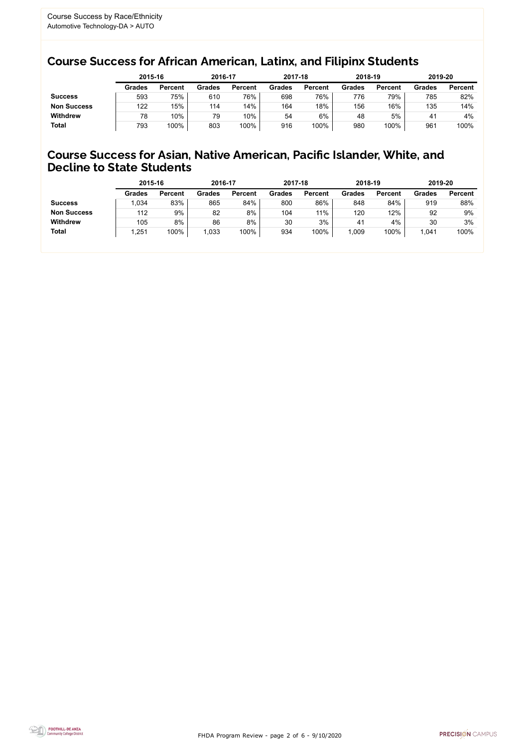FHDA Program Review - page 2 of 6 - 9/10/2020



### Course Success for African American, Latinx, and Filipinx Students

#### Course Success for Asian, Native American, Pacific Islander, White, and Decline to State Students

|                    | 2015-16       |                | 2016-17       |                | 2017-18       |                | 2018-19       |                | 2019-20        |                |
|--------------------|---------------|----------------|---------------|----------------|---------------|----------------|---------------|----------------|----------------|----------------|
|                    | <b>Grades</b> | <b>Percent</b> | <b>Grades</b> | <b>Percent</b> | <b>Grades</b> | <b>Percent</b> | <b>Grades</b> | <b>Percent</b> | <b>Grades</b>  | <b>Percent</b> |
| <b>Success</b>     | 593           | 75%            | 610           | 76%            | 698           | 76%            | 776           | 79%            | 785            | 82%            |
| <b>Non Success</b> | 122           | 15%            | 114           | 14%            | 164           | 18%            | 156           | 16%            | 135            | 14%            |
| <b>Withdrew</b>    | 78            | 10%            | 79            | 10%            | 54            | 6%             | 48            | 5%             | 4 <sup>1</sup> | 4%             |
| <b>Total</b>       | 793           | 100%           | 803           | 100%           | 916           | 100%           | 980           | 100%           | 961            | 100%           |

|                    | 2015-16       |                | 2016-17       |                | 2017-18       |                | 2018-19       |                | 2019-20       |                |
|--------------------|---------------|----------------|---------------|----------------|---------------|----------------|---------------|----------------|---------------|----------------|
|                    | <b>Grades</b> | <b>Percent</b> | <b>Grades</b> | <b>Percent</b> | <b>Grades</b> | <b>Percent</b> | <b>Grades</b> | <b>Percent</b> | <b>Grades</b> | <b>Percent</b> |
| <b>Success</b>     | 1,034         | 83%            | 865           | 84%            | 800           | 86%            | 848           | 84%            | 919           | 88%            |
| <b>Non Success</b> | 112           | 9%             | 82            | 8%             | 104           | 11%            | 120           | 12%            | 92            | 9%             |
| <b>Withdrew</b>    | 105           | 8%             | 86            | 8%             | 30            | 3%             | 41            | 4%             | 30            | 3%             |
| <b>Total</b>       | 1,251         | 100%           | 1,033         | 100%           | 934           | 100%           | ,009          | 100%           | 1,041         | 100%           |
|                    |               |                |               |                |               |                |               |                |               |                |

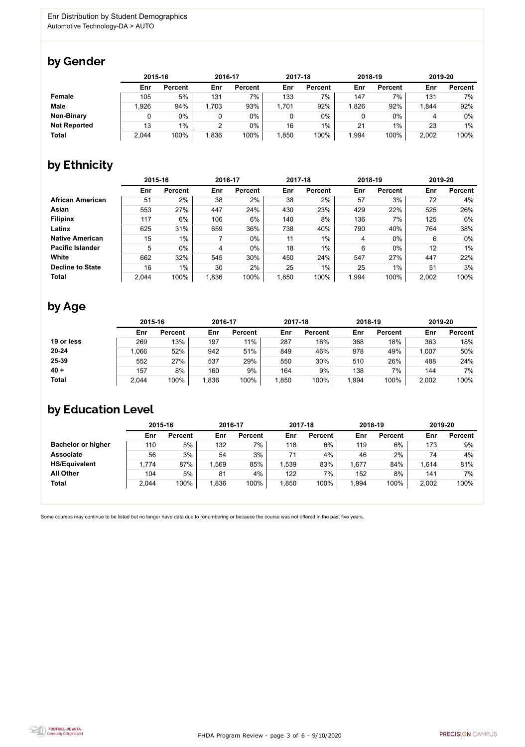FHDA Program Review - page 3 of 6 - 9/10/2020



Some courses may continue to be listed but no longer have data due to renumbering or because the course was not offered in the past five years.



### by Gender

|                     | 2015-16 |                |      | 2016-17        |       | 2017-18        |       | 2018-19        |       | 2019-20        |  |
|---------------------|---------|----------------|------|----------------|-------|----------------|-------|----------------|-------|----------------|--|
|                     | Enr     | <b>Percent</b> | Enr  | <b>Percent</b> | Enr   | <b>Percent</b> | Enr   | <b>Percent</b> | Enr   | <b>Percent</b> |  |
| <b>Female</b>       | 105     | 5%             | 131  | 7%             | 133   | 7%             | 147   | 7%             | 131   | 7%             |  |
| <b>Male</b>         | ,926    | 94%            | ,703 | 93%            | 1,701 | 92%            | ,826  | 92%            | 1,844 | 92%            |  |
| <b>Non-Binary</b>   |         | 0%             |      | $0\%$          |       | 0%             |       | 0%             |       | 0%             |  |
| <b>Not Reported</b> | 13      | $1\%$          |      | $0\%$          | 16    | 1%             | 21    | 1%             | 23    | $1\%$          |  |
| <b>Total</b>        | 2,044   | 100%           | .836 | 100%           | 1,850 | 100%           | 1,994 | 100%           | 2,002 | 100%           |  |

## by Ethnicity

|                         |       | 2015-16        |       | 2016-17        |       | 2017-18        | 2018-19 |                | 2019-20 |                |
|-------------------------|-------|----------------|-------|----------------|-------|----------------|---------|----------------|---------|----------------|
|                         | Enr   | <b>Percent</b> | Enr   | <b>Percent</b> | Enr   | <b>Percent</b> | Enr     | <b>Percent</b> | Enr     | <b>Percent</b> |
| <b>African American</b> | 51    | 2%             | 38    | 2%             | 38    | 2%             | 57      | 3%             | 72      | 4%             |
| Asian                   | 553   | 27%            | 447   | 24%            | 430   | 23%            | 429     | 22%            | 525     | 26%            |
| <b>Filipinx</b>         | 117   | 6%             | 106   | 6%             | 140   | 8%             | 136     | 7%             | 125     | 6%             |
| Latinx                  | 625   | 31%            | 659   | 36%            | 738   | 40%            | 790     | 40%            | 764     | 38%            |
| <b>Native American</b>  | 15    | $1\%$          |       | $0\%$          | 11    | $1\%$          | 4       | $0\%$          | 6       | $0\%$          |
| <b>Pacific Islander</b> | 5     | $0\%$          | 4     | $0\%$          | 18    | $1\%$          | 6       | $0\%$          | 12      | 1%             |
| White                   | 662   | 32%            | 545   | 30%            | 450   | 24%            | 547     | 27%            | 447     | 22%            |
| <b>Decline to State</b> | 16    | 1%             | 30    | 2%             | 25    | $1\%$          | 25      | $1\%$          | 51      | 3%             |
| <b>Total</b>            | 2,044 | 100%           | 1,836 | 100%           | 1,850 | 100%           | 1,994   | 100%           | 2,002   | 100%           |

### by Age

|              | 2015-16 |                | 2016-17 |                | 2017-18 |                | 2018-19 |                | 2019-20 |                |
|--------------|---------|----------------|---------|----------------|---------|----------------|---------|----------------|---------|----------------|
|              | Enr     | <b>Percent</b> | Enr     | <b>Percent</b> | Enr     | <b>Percent</b> | Enr     | <b>Percent</b> | Enr     | <b>Percent</b> |
| 19 or less   | 269     | 13%            | 197     | $11\%$         | 287     | 16%            | 368     | 18%            | 363     | 18%            |
| $20 - 24$    | ,066    | 52%            | 942     | 51%            | 849     | 46%            | 978     | 49%            | 1,007   | 50%            |
| 25-39        | 552     | 27%            | 537     | 29%            | 550     | 30%            | 510     | 26%            | 488     | 24%            |
| $40 +$       | 157     | 8%             | 160     | 9%             | 164     | 9%             | 138     | 7%             | 144     | 7%             |
| <b>Total</b> | 2,044   | 100%           | 1,836   | 100%           | ,850    | 100%           | ,994    | 100%           | 2,002   | 100%           |

### by Education Level

|                           | 2015-16 |                |      | 2016-17        |      | 2017-18        | 2018-19 |                | 2019-20 |                |
|---------------------------|---------|----------------|------|----------------|------|----------------|---------|----------------|---------|----------------|
|                           | Enr     | <b>Percent</b> | Enr  | <b>Percent</b> | Enr  | <b>Percent</b> | Enr     | <b>Percent</b> | Enr     | <b>Percent</b> |
| <b>Bachelor or higher</b> | 110     | 5%             | 132  | $7\%$          | 118  | 6%             | 119     | 6%             | 173     | 9%             |
| <b>Associate</b>          | 56      | 3%             | 54   | 3%             | 71   | 4%             | 46      | 2%             | 74      | 4%             |
| <b>HS/Equivalent</b>      | 1,774   | 87%            | ,569 | 85%            | .539 | 83%            | ,677    | 84%            | 1,614   | 81%            |
| <b>All Other</b>          | 104     | 5%             | 81   | 4%             | 122  | 7%             | 152     | 8%             | 141     | 7%             |
| <b>Total</b>              | 2,044   | 100%           | ,836 | 100%           | ,850 | 100%           | ,994    | 100%           | 2,002   | 100%           |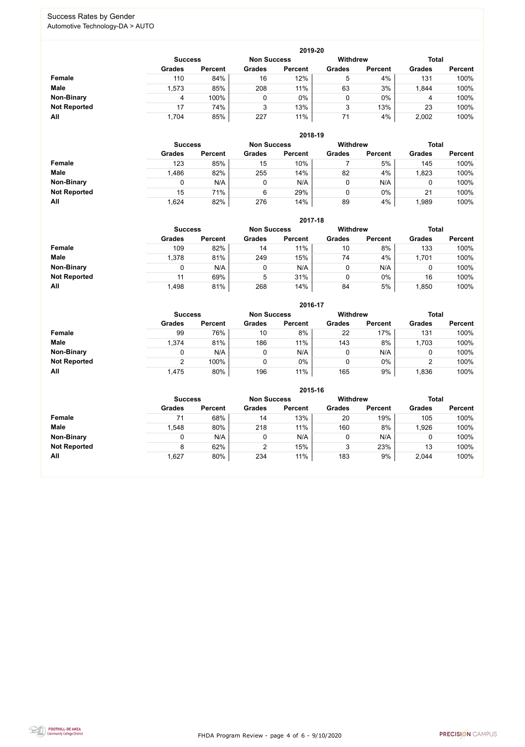FHDA Program Review - page 4 of 6 - 9/10/2020



#### Success Rates by Gender Automotive Technology-DA > AUTO

|                     |                | 2019-20        |                    |                |                 |                |               |                |  |  |  |  |  |  |
|---------------------|----------------|----------------|--------------------|----------------|-----------------|----------------|---------------|----------------|--|--|--|--|--|--|
|                     | <b>Success</b> |                | <b>Non Success</b> |                | <b>Withdrew</b> |                | <b>Total</b>  |                |  |  |  |  |  |  |
|                     | <b>Grades</b>  | <b>Percent</b> | <b>Grades</b>      | <b>Percent</b> | <b>Grades</b>   | <b>Percent</b> | <b>Grades</b> | <b>Percent</b> |  |  |  |  |  |  |
| Female              | 110            | 84%            | 16                 | 12%            | 5               | 4%             | 131           | 100%           |  |  |  |  |  |  |
| <b>Male</b>         | 1,573          | 85%            | 208                | 11%            | 63              | 3%             | 1,844         | 100%           |  |  |  |  |  |  |
| <b>Non-Binary</b>   | 4              | 100%           |                    | $0\%$          | 0               | $0\%$          | 4             | 100%           |  |  |  |  |  |  |
| <b>Not Reported</b> | 17             | 74%            | 3                  | 13%            | 3               | 13%            | 23            | 100%           |  |  |  |  |  |  |
| All                 | 1,704          | 85%            | 227                | 11%            | 71              | 4%             | 2,002         | 100%           |  |  |  |  |  |  |

|                     | 2018-19       |                                      |               |                |               |                |               |                |  |  |  |  |  |
|---------------------|---------------|--------------------------------------|---------------|----------------|---------------|----------------|---------------|----------------|--|--|--|--|--|
|                     |               | <b>Non Success</b><br><b>Success</b> |               |                |               |                | <b>Total</b>  |                |  |  |  |  |  |
|                     | <b>Grades</b> | <b>Percent</b>                       | <b>Grades</b> | <b>Percent</b> | <b>Grades</b> | <b>Percent</b> | <b>Grades</b> | <b>Percent</b> |  |  |  |  |  |
| Female              | 123           | 85%                                  | 15            | 10%            |               | 5%             | 145           | 100%           |  |  |  |  |  |
| <b>Male</b>         | 1,486         | 82%                                  | 255           | 14%            | 82            | 4%             | 1,823         | 100%           |  |  |  |  |  |
| <b>Non-Binary</b>   |               | N/A                                  | 0             | N/A            | 0             | N/A            | 0             | 100%           |  |  |  |  |  |
| <b>Not Reported</b> | 15            | 71%                                  | 6             | 29%            | 0             | $0\%$          | 21            | 100%           |  |  |  |  |  |
| All                 | 1,624         | 82%                                  | 276           | 14%            | 89            | 4%             | 1,989         | 100%           |  |  |  |  |  |

|                     |               | 2017-18                                                                 |     |                |               |                |               |                |  |  |  |  |  |  |
|---------------------|---------------|-------------------------------------------------------------------------|-----|----------------|---------------|----------------|---------------|----------------|--|--|--|--|--|--|
|                     |               | <b>Total</b><br><b>Withdrew</b><br><b>Non Success</b><br><b>Success</b> |     |                |               |                |               |                |  |  |  |  |  |  |
|                     | <b>Grades</b> | <b>Percent</b>                                                          |     | <b>Percent</b> | <b>Grades</b> | <b>Percent</b> | <b>Grades</b> | <b>Percent</b> |  |  |  |  |  |  |
| <b>Female</b>       | 109           | 82%                                                                     | 14  | 11%            | 10            | 8%             | 133           | 100%           |  |  |  |  |  |  |
| <b>Male</b>         | 1,378         | 81%                                                                     | 249 | 15%            | 74            | 4%             | 1,701         | 100%           |  |  |  |  |  |  |
| <b>Non-Binary</b>   | 0             | N/A                                                                     |     | N/A            | 0             | N/A            | 0             | 100%           |  |  |  |  |  |  |
| <b>Not Reported</b> | 11            | 69%                                                                     | 5   | 31%            | 0             | $0\%$          | 16            | 100%           |  |  |  |  |  |  |
| All                 | 1,498         | 81%                                                                     | 268 | 14%            | 84            | 5%             | ,850          | 100%           |  |  |  |  |  |  |

|                     |               |                |               | 2016-17        |                 |                |               |                |
|---------------------|---------------|----------------|---------------|----------------|-----------------|----------------|---------------|----------------|
|                     |               | <b>Success</b> |               |                | <b>Withdrew</b> |                | <b>Total</b>  |                |
|                     | <b>Grades</b> | <b>Percent</b> | <b>Grades</b> | <b>Percent</b> | <b>Grades</b>   | <b>Percent</b> | <b>Grades</b> | <b>Percent</b> |
| <b>Female</b>       | 99            | 76%            | 10            | 8%             | 22              | 17%            | 131           | 100%           |
| <b>Male</b>         | 1,374         | 81%            | 186           | 11%            | 143             | 8%             | 1,703         | 100%           |
| <b>Non-Binary</b>   | 0             | N/A            |               | N/A            | 0               | N/A            | 0             | 100%           |
| <b>Not Reported</b> | ົ             | 100%           |               | $0\%$          | 0               | $0\%$          | ⌒             | 100%           |
| All                 | 1,475         | 80%            | 196           | 11%            | 165             | 9%             | .836          | 100%           |

|                     |                |                |                    | 2015-16        |                 |                |               |                |
|---------------------|----------------|----------------|--------------------|----------------|-----------------|----------------|---------------|----------------|
|                     | <b>Success</b> |                | <b>Non Success</b> |                | <b>Withdrew</b> |                | <b>Total</b>  |                |
|                     | <b>Grades</b>  | <b>Percent</b> | <b>Grades</b>      | <b>Percent</b> | <b>Grades</b>   | <b>Percent</b> | <b>Grades</b> | <b>Percent</b> |
| Female              |                | 68%            | 14                 | 13%            | 20              | 19%            | 105           | 100%           |
| <b>Male</b>         | .548           | 80%            | 218                | 11%            | 160             | 8%             | 1,926         | 100%           |
| <b>Non-Binary</b>   |                | N/A            | 0                  | N/A            |                 | N/A            |               | 100%           |
| <b>Not Reported</b> | 8              | 62%            |                    | 15%            |                 | 23%            | 13            | 100%           |
| All                 | 1,627          | 80%            | 234                | 11%            | 183             | 9%             | 2,044         | 100%           |

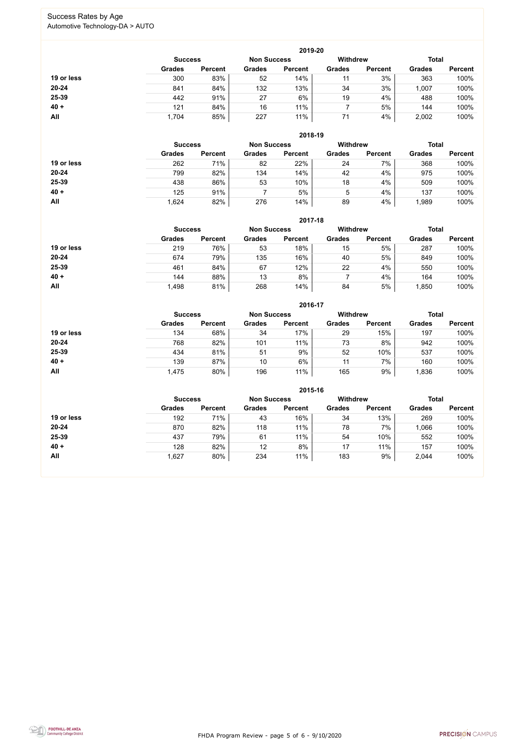FHDA Program Review - page 5 of 6 - 9/10/2020



#### Success Rates by Age Automotive Technology-DA > AUTO

|            |                |                |                    | 2019-20        |                 |                |               |                |  |
|------------|----------------|----------------|--------------------|----------------|-----------------|----------------|---------------|----------------|--|
|            | <b>Success</b> |                | <b>Non Success</b> |                | <b>Withdrew</b> |                |               | <b>Total</b>   |  |
|            | <b>Grades</b>  | <b>Percent</b> | <b>Grades</b>      | <b>Percent</b> | <b>Grades</b>   | <b>Percent</b> | <b>Grades</b> | <b>Percent</b> |  |
| 19 or less | 300            | 83%            | 52                 | 14%            |                 | 3%             | 363           | 100%           |  |
| 20-24      | 841            | 84%            | 132                | 13%            | 34              | 3%             | 1,007         | 100%           |  |
| 25-39      | 442            | 91%            | 27                 | 6%             | 19              | 4%             | 488           | 100%           |  |
| $40 +$     | 121            | 84%            | 16                 | 11%            |                 | 5%             | 144           | 100%           |  |
| All        | 1,704          | 85%            | 227                | 11%            | 71              | 4%             | 2,002         | 100%           |  |

|            |                |                |                    | 2018-19        |                 |                |               |                |  |
|------------|----------------|----------------|--------------------|----------------|-----------------|----------------|---------------|----------------|--|
|            | <b>Success</b> |                | <b>Non Success</b> |                | <b>Withdrew</b> |                |               | <b>Total</b>   |  |
|            | <b>Grades</b>  | <b>Percent</b> | <b>Grades</b>      | <b>Percent</b> | <b>Grades</b>   | <b>Percent</b> | <b>Grades</b> | <b>Percent</b> |  |
| 19 or less | 262            | 71%            | 82                 | 22%            | 24              | 7%             | 368           | 100%           |  |
| $20 - 24$  | 799            | 82%            | 134                | 14%            | 42              | 4%             | 975           | 100%           |  |
| 25-39      | 438            | 86%            | 53                 | 10%            | 18              | 4%             | 509           | 100%           |  |
| $40 +$     | 125            | 91%            |                    | 5%             | 5               | 4%             | 137           | 100%           |  |
| All        | 1,624          | 82%            | 276                | 14%            | 89              | 4%             | 1,989         | 100%           |  |

|            |                                                         |                |               | 2017-18        |               |                |               |                |
|------------|---------------------------------------------------------|----------------|---------------|----------------|---------------|----------------|---------------|----------------|
|            | <b>Withdrew</b><br><b>Non Success</b><br><b>Success</b> |                |               |                |               |                |               | <b>Total</b>   |
|            | <b>Grades</b>                                           | <b>Percent</b> | <b>Grades</b> | <b>Percent</b> | <b>Grades</b> | <b>Percent</b> | <b>Grades</b> | <b>Percent</b> |
| 19 or less | 219                                                     | 76%            | 53            | 18%            | 15            | 5%             | 287           | 100%           |
| $20 - 24$  | 674                                                     | 79%            | 135           | 16%            | 40            | 5%             | 849           | 100%           |
| 25-39      | 461                                                     | 84%            | 67            | 12%            | 22            | 4%             | 550           | 100%           |
| $40 +$     | 144                                                     | 88%            | 13            | 8%             |               | 4%             | 164           | 100%           |
| <b>All</b> | 1,498                                                   | 81%            | 268           | 14%            | 84            | 5%             | ,850          | 100%           |

|            |                |                    |               | 2016-17         |               |                |               |                |
|------------|----------------|--------------------|---------------|-----------------|---------------|----------------|---------------|----------------|
|            | <b>Success</b> | <b>Non Success</b> |               | <b>Withdrew</b> |               | <b>Total</b>   |               |                |
|            | <b>Grades</b>  | <b>Percent</b>     | <b>Grades</b> | <b>Percent</b>  | <b>Grades</b> | <b>Percent</b> | <b>Grades</b> | <b>Percent</b> |
| 19 or less | 134            | 68%                | 34            | 17%             | 29            | 15%            | 197           | 100%           |
| $20 - 24$  | 768            | 82%                | 101           | 11%             | 73            | 8%             | 942           | 100%           |
| 25-39      | 434            | 81%                | 51            | 9%              | 52            | 10%            | 537           | 100%           |
| $40 +$     | 139            | 87%                | 10            | 6%              | 11            | 7%             | 160           | 100%           |
| All        | 1,475          | 80%                | 196           | 11%             | 165           | 9%             | 1,836         | 100%           |

|            |                |                |                    | 2015-16        |                 |                |               |                |
|------------|----------------|----------------|--------------------|----------------|-----------------|----------------|---------------|----------------|
|            | <b>Success</b> |                | <b>Non Success</b> |                | <b>Withdrew</b> |                | <b>Total</b>  |                |
|            | <b>Grades</b>  | <b>Percent</b> | <b>Grades</b>      | <b>Percent</b> | <b>Grades</b>   | <b>Percent</b> | <b>Grades</b> | <b>Percent</b> |
| 19 or less | 192            | 71%            | 43                 | 16%            | 34              | 13%            | 269           | 100%           |
| $20 - 24$  | 870            | 82%            | 118                | 11%            | 78              | 7%             | 1,066         | 100%           |
| 25-39      | 437            | 79%            | 61                 | 11%            | 54              | 10%            | 552           | 100%           |
| $40 +$     | 128            | 82%            | 12                 | 8%             | 17              | 11%            | 157           | 100%           |
| <b>All</b> | ,627           | 80%            | 234                | 11%            | 183             | 9%             | 2,044         | 100%           |